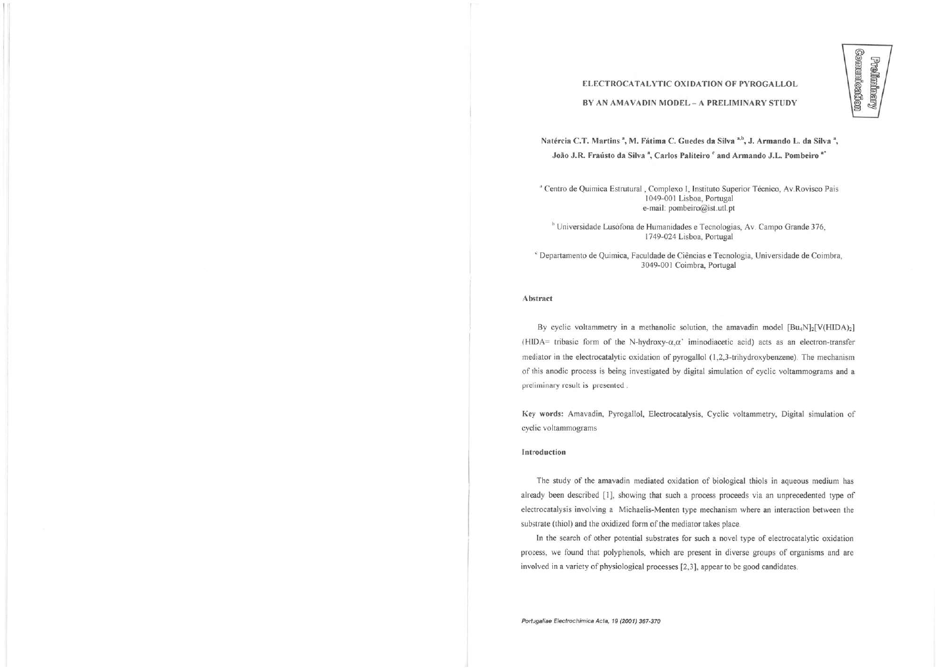# ELECTROCATALYTIC OXIDATION OF PYROGALLOL

#### BY AN AMAVADIN MODEL - A PRELIMINARY STUDY

Natércia C.T. Martins<sup>a</sup>, M. Fátima C. Guedes da Silva<sup>a,b</sup>, J. Armando L. da Silva<sup>a</sup>, João J.R . Fraústo da Silva ', Carlos Paliteiro ' and Armando J.L . Pombeiro "

' Centro de Química Estrutural. Complexo I. Instituto Superior Técnico, Av.Rovisco Pais 1049-001 Lisboa, Portugal e-mail: [pombeiro@ist.utl.pt](mailto:pombeiro@ist.utl.pt) 

<sup>b</sup> Universidade Lusófona de Humanidades e Tecnologias, Av. Campo Grande 376, 1749-024 Lisboa. Portugal

• Departamento de **Química.** Faculdade de Ciências e Tecnologia, Universidade de Coimbra, 3049-001 Coimbra, Portugal

### Abstract

By cyclic voltammetry in a methanolic solution, the amavadin model  $[Bu_4N]_2[V(HIDA)_2]$ (HIDA= tribasic form of the N-hydroxy- $\alpha$ , $\alpha$ ' iminodiacetic acid) acts as an electron-transfer mediator in the electrocatalytic oxidation of pyrogallol (1,2,3-trihydroxybenzene). The mechanism of ihis anodic process is being investigated by digital simulation of cyclic voltammograms and a preliminary result is presented .

Key words: Amavadin, Pyrogallol, Electrocaialysis. Cyclic vollammetry. Digital simulation of cyclic voltammograms

#### Introduction

The study of the amavadin mediated oxidation of biological thiols in aqueous medium has already been described [I], showing that such a process proceeds via an unprecedented type of electrocatalysis involving a Michaelis-Menten type mechanism where an interaction between lhe substrate (thiol) and the oxidized form of the mediator takes place.

In lhe search of other potential substrates for such a novel type of electrocatalytic oxidation process, we found that polyphenols, which are present in diverse groups of organisms and are involved in a variety of physiological processes [2,3], appear to be good candidates.

*Portjgaliae Bactrcchimica Acta, 19 (2001)* **367-370**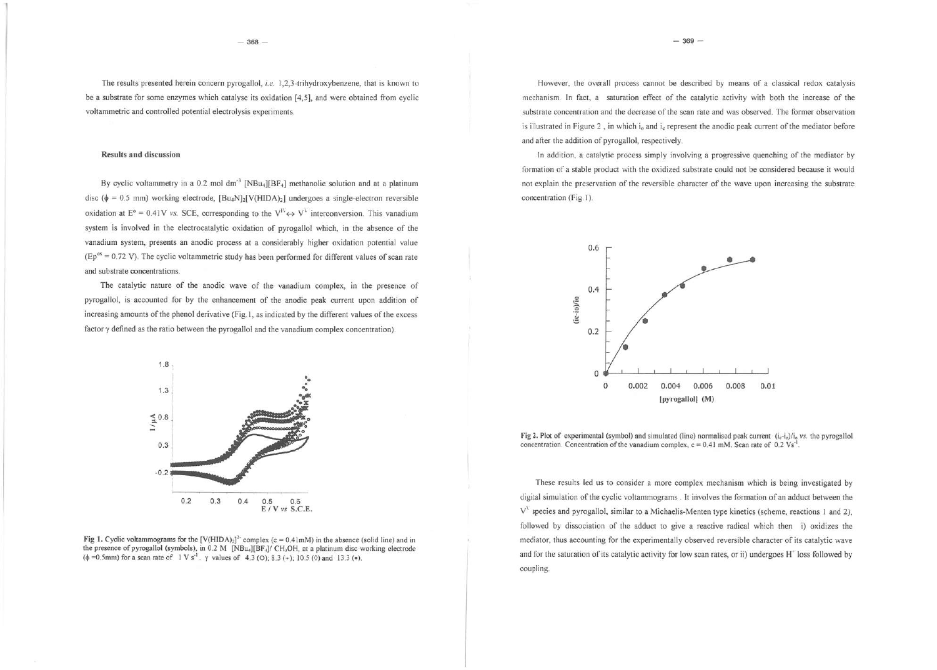The results presented herein concern pyrogallol, *i.e.* 1,2,3-trihydroxybenzene, that is known to be a substrate for some enzymes which catalyse its oxidation [4,5], and were obtained from cyclic voltammetric and controlled potential electrolysis experiments.

# Results and discussion

By cyclic voltammetry in a 0.2 mol dm<sup>-3</sup> [NB<sub>U<sub>4</sub>][BF<sub>4</sub>] methanolic solution and at a platinum</sub> disc ( $\phi$  = 0.5 mm) working electrode,  $[Bu_4N]_2[V(HIDA)_2]$  undergoes a single-electron reversible oxidation at  $E^{\circ} = 0.41V$  *vs.* SCE, corresponding to the  $V^V \leftrightarrow V^V$  interconversion. This vanadium system is involved in the electrocatalytic oxidation of pyrogallol which, in the absence of the vanadium system, presents an anodic process at a considerably higher oxidation potential value (Ep<sup>ox</sup> = 0.72 V). The cyclic voltammetric study has been performed for different values of scan rate and substrate concentrations.

The catalytic nature of the anodic wave of the vanadium complex, in the presence of pyrogallol, is accounted for by the enhancement of the anodic peak current upon addition of increasing amounts of the phenol derivative (Fig 1, as indicated by the different values of the excess factor y defined as the ratio between the pyrogallol and the vanadium complex concentration).



Fig 1. Cyclic voltammograms for the  $[V(HIDA)_2]^*$  complex  $(c = 0.41 \text{mM})$  in the absence (solid line) and in the presence of pyrogallol (symbols), in 0.2 M [NBu<sub>1</sub>][BF<sub>1</sub>]/ CH<sub>3</sub>OH, at a platinum disc working electrode  $(\phi = 0.5 \text{mm})$  for a scan rate of  $1 \text{ V s}^{-1}$ .  $\gamma$  values of 4.3 (O); 8.3 (+); 10.5 ( $\circ$ ) and 13.3 ( $\bullet$ ).

However, the overall process cannot be described by means of a classical redox catalysis mechanism In fact, a saturation effect of the catalytic activity with both the increase of the substrate concentration and the decrease of the scan rate and was observed. The former observation is illustrated in Figure 2, in which  $\mathbf{i}_0$  and  $\mathbf{i}_c$  represent the anodic peak current of the mediator before and after the addition of pyrogallol, respectively

hi addition, a catalytic process simply involving a progressive quenching of the mediator by formation of a stable product with the oxidized substrate could not be considered because it would not explain the preservation of the reversible character of the wave upon increasing the substrate concentration (Fig. 1).



Fig 2. Plot of experimental (symbol) and simulated (line) normalised peak current  $(i_c \text{-} i_o)/i_o$  *vs.* the pyrogallol concentration. Concentration of the vanadium complex,  $c = 0.41$  mM. Scan rate of 0.2 Vs<sup>-1</sup>

These results led us to consider a more complex mechanism which is being investigated by digital simulation of the cyclic voltammograms . It involves the formation of an adduct between the  $V<sup>1</sup>$  species and pyrogallol, similar to a Michaelis-Menten type kinetics (scheme, reactions 1 and 2), followed by dissociation of the adduct to give a reactive radical which then i) oxidizes the mediator, thus accounting for the experimentally observed reversible character of its catalytic wave and for Ihe saturation of its catalytic activity for low scan rates, or ii) undergoes **H"** loss followed by coupling.